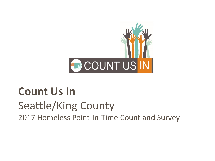

#### **Count Us In** Seattle/King County 2017 Homeless Point-In-Time Count and Survey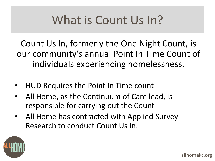## What is Count Us In?

Count Us In, formerly the One Night Count, is our community's annual Point In Time Count of individuals experiencing homelessness.

- HUD Requires the Point In Time count
- All Home, as the Continuum of Care lead, is responsible for carrying out the Count
- All Home has contracted with Applied Survey Research to conduct Count Us In.

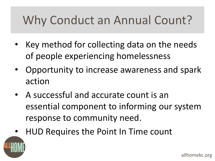## Why Conduct an Annual Count?

- Key method for collecting data on the needs of people experiencing homelessness
- Opportunity to increase awareness and spark action
- A successful and accurate count is an essential component to informing our system response to community need.
- HUD Requires the Point In Time count

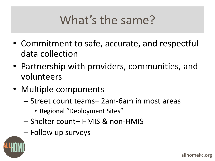# What's the same?

- Commitment to safe, accurate, and respectful data collection
- Partnership with providers, communities, and volunteers
- Multiple components
	- Street count teams– 2am-6am in most areas
		- Regional "Deployment Sites"
	- Shelter count– HMIS & non-HMIS
	- Follow up surveys

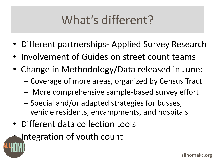## What's different?

- Different partnerships- Applied Survey Research
- Involvement of Guides on street count teams
- Change in Methodology/Data released in June:
	- Coverage of more areas, organized by Census Tract
	- More comprehensive sample-based survey effort
	- Special and/or adapted strategies for busses, vehicle residents, encampments, and hospitals
- Different data collection tools
- Integration of youth count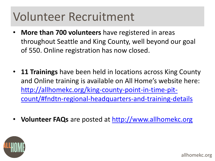#### Volunteer Recruitment

- **More than 700 volunteers** have registered in areas throughout Seattle and King County, well beyond our goal of 550. Online registration has now closed.
- **11 Trainings** have been held in locations across King County and Online training is available on All Home's website here: http://allhomekc.org/king-county-point-in-time-pit[count/#fndtn-regional-headquarters-and-training-details](http://allhomekc.org/king-county-point-in-time-pit-count/#fndtn-regional-headquarters-and-training-details)
- **Volunteer FAQs** are posted at<http://www.allhomekc.org>



allhomekc.org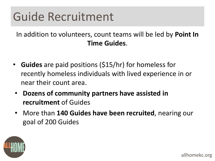#### Guide Recruitment

In addition to volunteers, count teams will be led by **Point In Time Guides**.

- **Guides** are paid positions (\$15/hr) for homeless for recently homeless individuals with lived experience in or near their count area.
- **Dozens of community partners have assisted in recruitment** of Guides
- More than **140 Guides have been recruited**, nearing our goal of 200 Guides

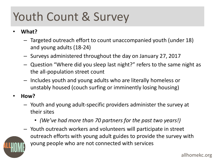## Youth Count & Survey

- **What?**
	- Targeted outreach effort to count unaccompanied youth (under 18) and young adults (18-24)
	- Surveys administered throughout the day on January 27, 2017
	- Question "Where did you sleep last night?" refers to the same night as the all-population street count
	- Includes youth and young adults who are literally homeless or unstably housed (couch surfing or imminently losing housing)
- **How?**
	- Youth and young adult-specific providers administer the survey at their sites
		- *(We've had more than 70 partners for the past two years!)*
	- Youth outreach workers and volunteers will participate in street outreach efforts with young adult guides to provide the survey with young people who are not connected with services